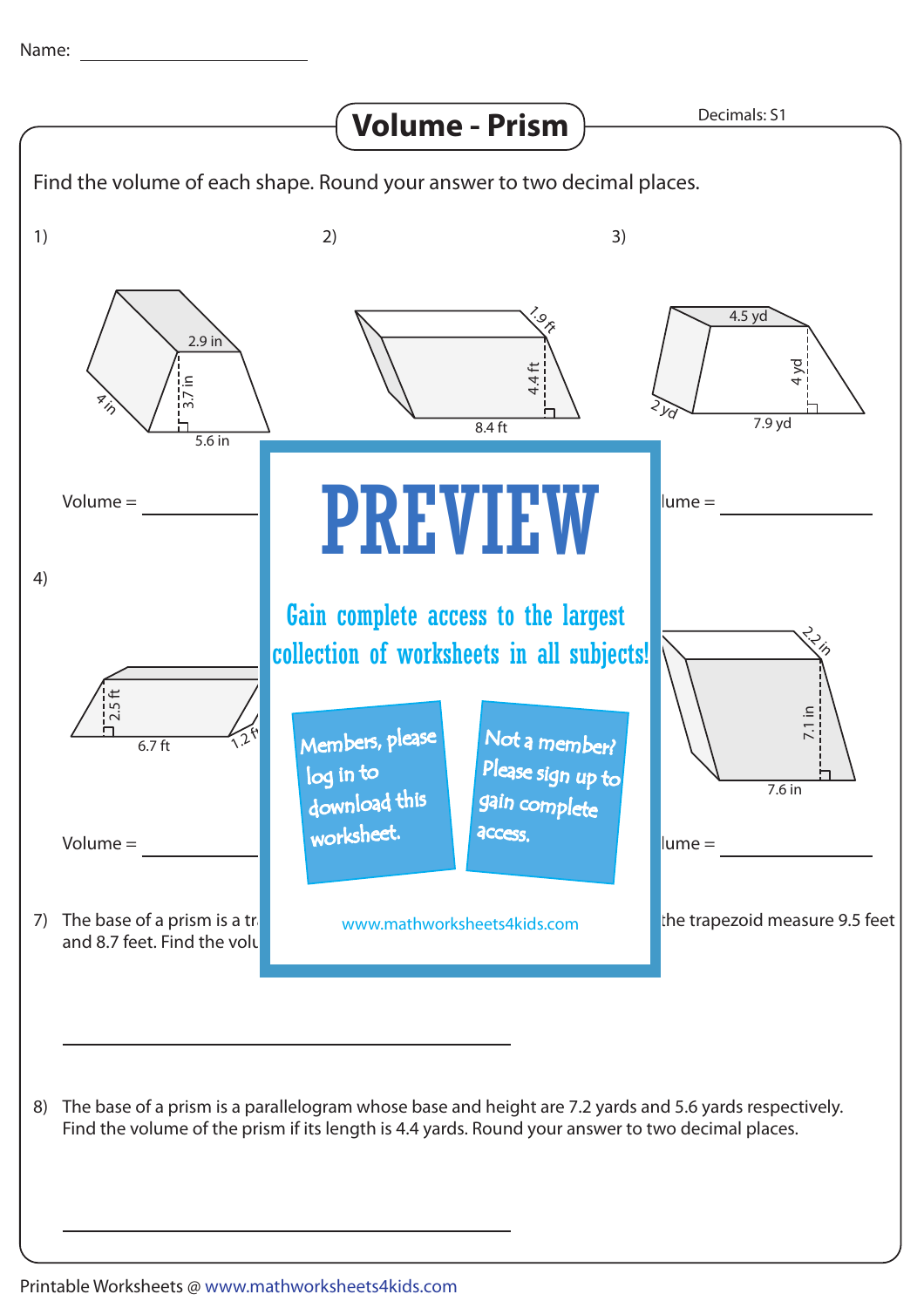